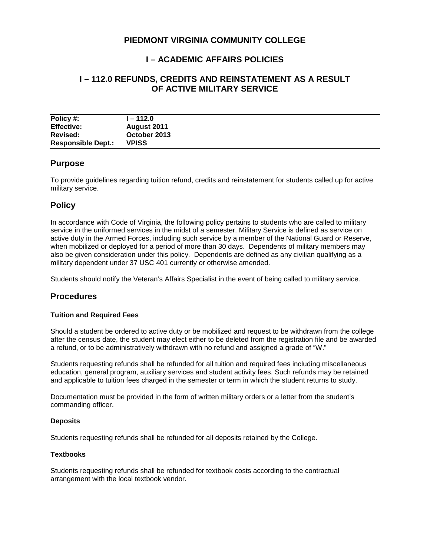# **PIEDMONT VIRGINIA COMMUNITY COLLEGE**

# **I – ACADEMIC AFFAIRS POLICIES**

# **I – 112.0 REFUNDS, CREDITS AND REINSTATEMENT AS A RESULT OF ACTIVE MILITARY SERVICE**

| Policy #:                 | l – 112.0    |
|---------------------------|--------------|
| <b>Effective:</b>         | August 2011  |
| Revised:                  | October 2013 |
| <b>Responsible Dept.:</b> | <b>VPISS</b> |

### **Purpose**

To provide guidelines regarding tuition refund, credits and reinstatement for students called up for active military service.

### **Policy**

In accordance with Code of Virginia, the following policy pertains to students who are called to military service in the uniformed services in the midst of a semester. Military Service is defined as service on active duty in the Armed Forces, including such service by a member of the National Guard or Reserve, when mobilized or deployed for a period of more than 30 days. Dependents of military members may also be given consideration under this policy. Dependents are defined as any civilian qualifying as a military dependent under 37 USC 401 currently or otherwise amended.

Students should notify the Veteran's Affairs Specialist in the event of being called to military service.

## **Procedures**

#### **Tuition and Required Fees**

Should a student be ordered to active duty or be mobilized and request to be withdrawn from the college after the census date, the student may elect either to be deleted from the registration file and be awarded a refund, or to be administratively withdrawn with no refund and assigned a grade of "W."

Students requesting refunds shall be refunded for all tuition and required fees including miscellaneous education, general program, auxiliary services and student activity fees. Such refunds may be retained and applicable to tuition fees charged in the semester or term in which the student returns to study.

Documentation must be provided in the form of written military orders or a letter from the student's commanding officer.

#### **Deposits**

Students requesting refunds shall be refunded for all deposits retained by the College.

#### **Textbooks**

Students requesting refunds shall be refunded for textbook costs according to the contractual arrangement with the local textbook vendor.